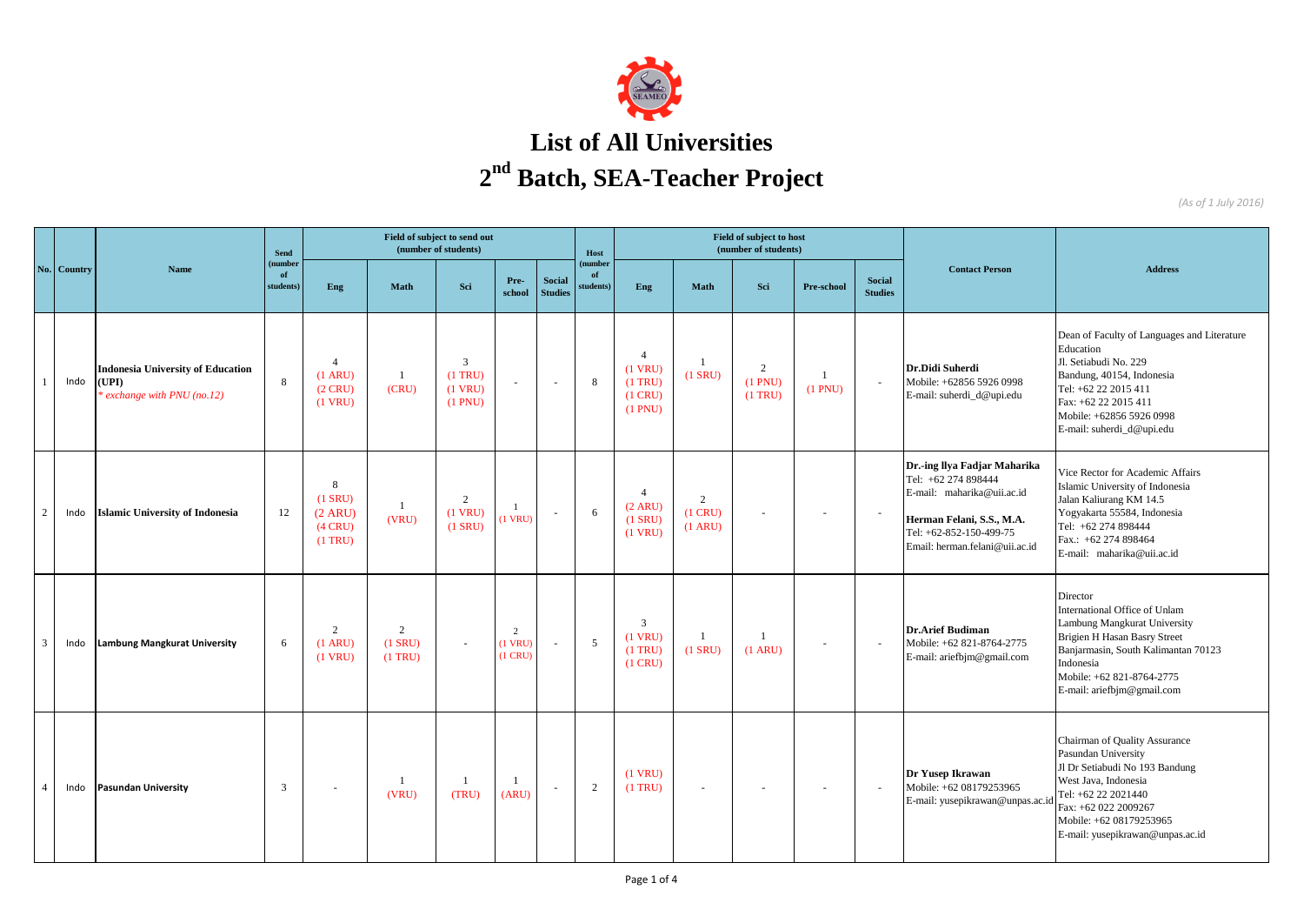

## **List of All Universities 2 nd Batch, SEA-Teacher Project**

*(As of 1 July 2016)*

|                | <b>Country</b> | <b>Name</b>                                                                    | <b>Send</b><br>number<br>of<br>students | Field of subject to send out<br>(number of students)          |                             |                                                     |                           |                                 |                           |                                                                  |                                     | Field of subject to host<br>(number of students) |                           |                                 |                                                                                                                                                                             |                                                                                                                                                                                                                                 |
|----------------|----------------|--------------------------------------------------------------------------------|-----------------------------------------|---------------------------------------------------------------|-----------------------------|-----------------------------------------------------|---------------------------|---------------------------------|---------------------------|------------------------------------------------------------------|-------------------------------------|--------------------------------------------------|---------------------------|---------------------------------|-----------------------------------------------------------------------------------------------------------------------------------------------------------------------------|---------------------------------------------------------------------------------------------------------------------------------------------------------------------------------------------------------------------------------|
| No.            |                |                                                                                |                                         | Eng                                                           | <b>Math</b>                 | Sci                                                 | Pre-<br>school            | <b>Social</b><br><b>Studies</b> | number<br>of<br>students) | Eng                                                              | Math                                | Sci                                              | Pre-school                | <b>Social</b><br><b>Studies</b> | <b>Contact Person</b>                                                                                                                                                       | <b>Address</b>                                                                                                                                                                                                                  |
|                | Indo           | <b>Indonesia University of Education</b><br>(UPI)<br>exchange with PNU (no.12) | 8                                       | $\overline{4}$<br>$(1 \text{ ARU})$<br>$(2$ CRU)<br>$(1$ VRU) | -1<br>(CRU)                 | $\mathbf{3}$<br>$(1$ TRU)<br>$(1$ VRU)<br>$(1$ PNU) | $\sim$                    | $\sim$                          | 8                         | $\overline{4}$<br>$(1$ VRU)<br>$(1$ TRU)<br>(1 CRU)<br>$(1$ PNU) | $(1$ SRU)                           | $\overline{2}$<br>$(1$ PNU)<br>$(1$ TRU)         | $\overline{1}$<br>(1 PNU) | $\sim$                          | Dr.Didi Suherdi<br>Mobile: +62856 5926 0998<br>E-mail: suherdi_d@upi.edu                                                                                                    | Dean of Faculty of Languages and Literature<br>Education<br>Jl. Setiabudi No. 229<br>Bandung, 40154, Indonesia<br>Tel: +62 22 2015 411<br>Fax: +62 22 2015 411<br>Mobile: +62856 5926 0998<br>E-mail: suherdi_d@upi.edu         |
| 2              | Indo           | <b>Islamic University of Indonesia</b>                                         | 12                                      | 8<br>$(1$ SRU)<br>(2 ARU)<br>$(4$ CRU)<br>$(1$ TRU)           | -1<br>(VRU)                 | $\overline{2}$<br>$(1$ VRU)<br>$(1$ SRU)            | $\mathbf{1}$<br>$(1$ VRU) | $\sim$                          | 6                         | $\overline{4}$<br>(2 ARU)<br>$(1$ SRU)<br>$(1$ VRU)              | 2<br>$(1$ CRU)<br>$(1 \text{ ARU})$ |                                                  | $\sim$                    |                                 | Dr.-ing Ilya Fadjar Maharika<br>Tel: +62 274 898444<br>E-mail: maharika@uii.ac.id<br>Herman Felani, S.S., M.A.<br>Tel: +62-852-150-499-75<br>Email: herman.felani@uii.ac.id | Vice Rector for Academic Affairs<br>Islamic University of Indonesia<br>Jalan Kaliurang KM 14.5<br>Yogyakarta 55584, Indonesia<br>Tel: +62 274 898444<br>Fax.: +62 274 898464<br>E-mail: maharika@uii.ac.id                      |
| $\overline{3}$ | Indo           | Lambung Mangkurat University                                                   | 6                                       | 2<br>$(1 \text{ ARU})$<br>$(1$ VRU)                           | 2<br>$(1$ SRU)<br>$(1$ TRU) |                                                     | 2<br>$(1$ VRU<br>$(1$ CRU | $\sim$                          | 5                         | 3<br>$(1$ VRU)<br>$(1$ TRU)<br>$(1$ CRU)                         | - 1<br>$(1$ SRU)                    | $(1$ ARU)                                        | $\overline{\phantom{a}}$  |                                 | <b>Dr.Arief Budiman</b><br>Mobile: +62 821-8764-2775<br>E-mail: ariefbjm@gmail.com                                                                                          | Director<br>International Office of Unlam<br>Lambung Mangkurat University<br><b>Brigien H Hasan Basry Street</b><br>Banjarmasin, South Kalimantan 70123<br>Indonesia<br>Mobile: +62 821-8764-2775<br>E-mail: ariefbjm@gmail.com |
| $\overline{4}$ | Indo           | <b>Pasundan University</b>                                                     | 3                                       | $\sim$                                                        | -1<br>(VRU)                 | -1<br>(TRU)                                         | -1<br>(ARU)               | $\overline{\phantom{a}}$        | 2                         | $(1$ VRU)<br>$(1$ TRU $)$                                        | $\overline{\phantom{a}}$            |                                                  | $\overline{\phantom{a}}$  |                                 | Dr Yusep Ikrawan<br>Mobile: +62 08179253965<br>E-mail: yusepikrawan@unpas.ac.i                                                                                              | Chairman of Quality Assurance<br>Pasundan University<br>Jl Dr Setiabudi No 193 Bandung<br>West Java, Indonesia<br>Tel: +62 22 2021440<br>Fax: +62 022 2009267<br>Mobile: +62 08179253965<br>E-mail: yusepikrawan@unpas.ac.id    |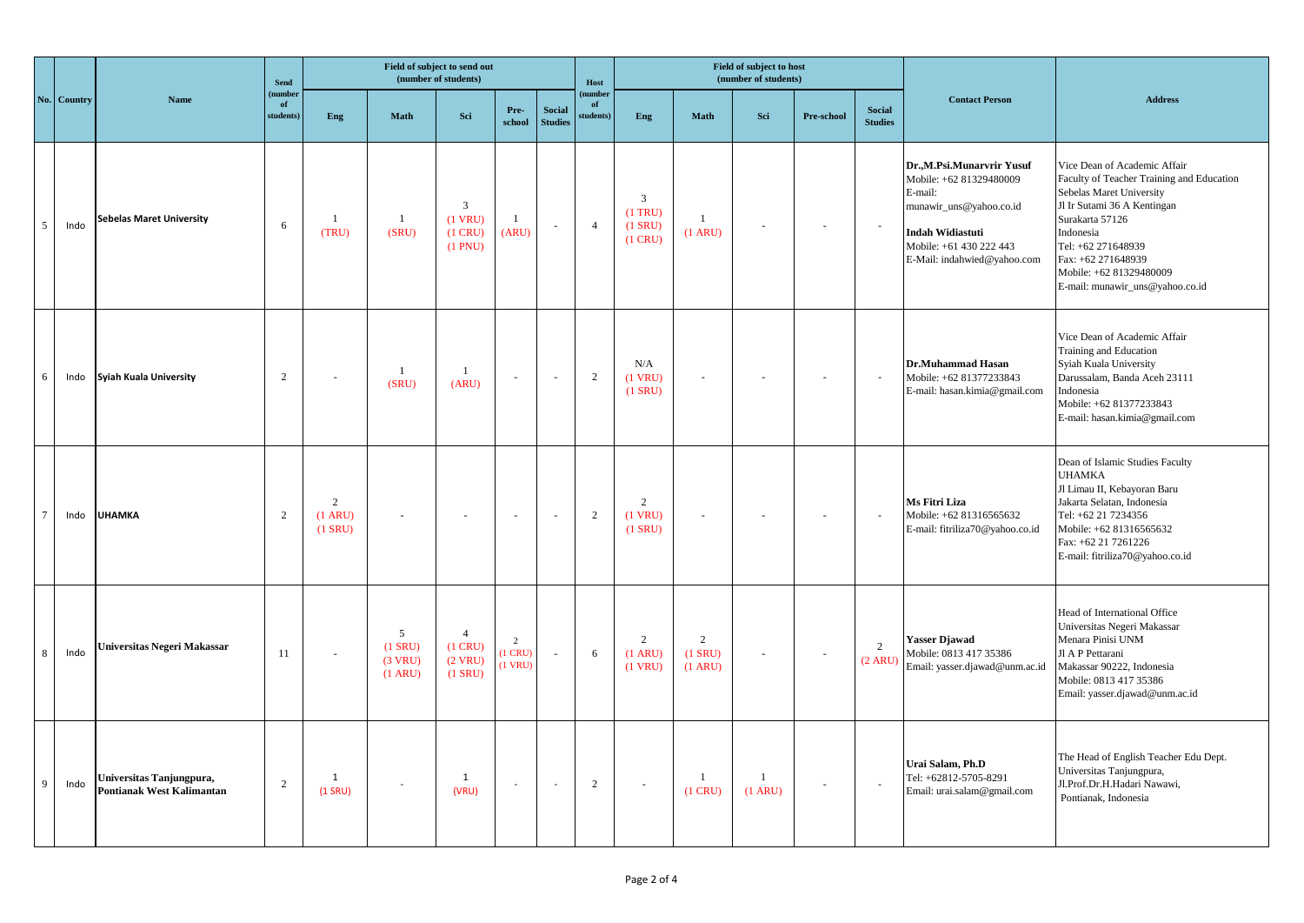|                |             | Name                                                  | <b>Send</b><br>(number<br>of<br>students) | Field of subject to send out<br>(number of students) |                                                |                                                     |                                |                                 |                           |                                                          |                                          | Field of subject to host<br>(number of students) |            |                                 |                                                                                                                                                                                 |                                                                                                                                                                                                                                                                                |
|----------------|-------------|-------------------------------------------------------|-------------------------------------------|------------------------------------------------------|------------------------------------------------|-----------------------------------------------------|--------------------------------|---------------------------------|---------------------------|----------------------------------------------------------|------------------------------------------|--------------------------------------------------|------------|---------------------------------|---------------------------------------------------------------------------------------------------------------------------------------------------------------------------------|--------------------------------------------------------------------------------------------------------------------------------------------------------------------------------------------------------------------------------------------------------------------------------|
|                | No. Country |                                                       |                                           | Eng                                                  | <b>Math</b>                                    | Sci                                                 | Pre-<br>school                 | <b>Social</b><br><b>Studies</b> | (number<br>of<br>tudents) | Eng                                                      | <b>Math</b>                              | Sci                                              | Pre-school | <b>Social</b><br><b>Studies</b> | <b>Contact Person</b>                                                                                                                                                           | <b>Address</b>                                                                                                                                                                                                                                                                 |
| 5              | Indo        | <b>Sebelas Maret University</b>                       | 6                                         | -1<br>(TRU)                                          | $\mathbf{1}$<br>(SRU)                          | 3<br>$(1$ VRU)<br>$(1$ CRU)<br>$(1$ PNU)            | $\mathbf{1}$<br>(ARU)          | $\sim$                          | $\overline{4}$            | $\overline{3}$<br>$(1$ TRU)<br>$(1$ SRU)<br>$(1$ CRU $)$ | $\mathbf{1}$<br>(1 ARU)                  |                                                  |            |                                 | Dr.,M.Psi.Munarvrir Yusuf<br>Mobile: +62 81329480009<br>E-mail:<br>munawir_uns@yahoo.co.id<br><b>Indah Widiastuti</b><br>Mobile: +61 430 222 443<br>E-Mail: indahwied@yahoo.com | Vice Dean of Academic Affair<br>Faculty of Teacher Training and Education<br>Sebelas Maret University<br>Jl Ir Sutami 36 A Kentingan<br>Surakarta 57126<br>Indonesia<br>Tel: +62 271648939<br>Fax: +62 271648939<br>Mobile: +62 81329480009<br>E-mail: munawir_uns@yahoo.co.id |
| 6              | Indo        | Syiah Kuala University                                | $\overline{2}$                            | $\sim$                                               | $\mathbf{1}$<br>(SRU)                          | (ARU)                                               | $\sim$                         | $\sim$                          | 2                         | N/A<br>$(1$ VRU)<br>$(1$ SRU)                            | ÷,                                       |                                                  |            | $\sim$                          | Dr.Muhammad Hasan<br>Mobile: +62 81377233843<br>E-mail: hasan.kimia@gmail.com                                                                                                   | Vice Dean of Academic Affair<br>Training and Education<br>Syiah Kuala University<br>Darussalam, Banda Aceh 23111<br>Indonesia<br>Mobile: +62 81377233843<br>E-mail: hasan.kimia@gmail.com                                                                                      |
| $\overline{7}$ | Indo        | <b>UHAMKA</b>                                         | $\overline{2}$                            | $\overline{2}$<br>$(1$ ARU)<br>$(1$ SRU $)$          | $\sim$                                         | $\sim$                                              | $\sim$                         | $\sim$                          | 2                         | $\overline{c}$<br>$(1$ VRU)<br>$(1$ SRU $)$              | $\overline{\phantom{a}}$                 |                                                  |            | $\sim$                          | Ms Fitri Liza<br>Mobile: +62 81316565632<br>E-mail: fitriliza70@yahoo.co.id                                                                                                     | Dean of Islamic Studies Faculty<br><b>UHAMKA</b><br>Jl Limau II, Kebayoran Baru<br>Jakarta Selatan, Indonesia<br>Tel: +62 21 7234356<br>Mobile: +62 81316565632<br>Fax: +62 21 7261226<br>E-mail: fitriliza70@yahoo.co.id                                                      |
| 8              | Indo        | Universitas Negeri Makassar                           | 11                                        | $\sim$                                               | 5<br>$(1$ SRU)<br>(3 VRU)<br>$(1 \text{ ARU})$ | $\overline{4}$<br>(1 CRU)<br>$(2$ VRU)<br>$(1$ SRU) | 2<br>$(1$ CRU $)$<br>$(1$ VRU) | $\sim$                          | 6                         | 2<br>(1 ARU)<br>$(1$ VRU)                                | $\overline{2}$<br>$(1$ SRU)<br>$(1$ ARU) |                                                  |            | 2<br>(2 ARU)                    | Yasser Djawad<br>Mobile: 0813 417 35386<br>Email: yasser.djawad@unm.ac.id                                                                                                       | Head of International Office<br>Universitas Negeri Makassar<br>Menara Pinisi UNM<br>Jl A P Pettarani<br>Makassar 90222, Indonesia<br>Mobile: 0813 417 35386<br>Email: yasser.djawad@unm.ac.id                                                                                  |
| 9              | Indo        | Universitas Tanjungpura,<br>Pontianak West Kalimantan | $\sqrt{2}$                                | $\mathbf{1}$<br>$(1$ SRU)                            | $\overline{\phantom{a}}$                       | $\mathbf{1}$<br>(VRU)                               | $\sim$                         | $\sim$                          | 2                         | $\sim$                                                   | -1<br>$(1$ CRU $)$                       | $\overline{1}$<br>(1 ARU)                        |            | $\sim$                          | Urai Salam, Ph.D<br>Tel: +62812-5705-8291<br>Email: urai.salam@gmail.com                                                                                                        | The Head of English Teacher Edu Dept.<br>Universitas Tanjungpura,<br>Jl.Prof.Dr.H.Hadari Nawawi,<br>Pontianak, Indonesia                                                                                                                                                       |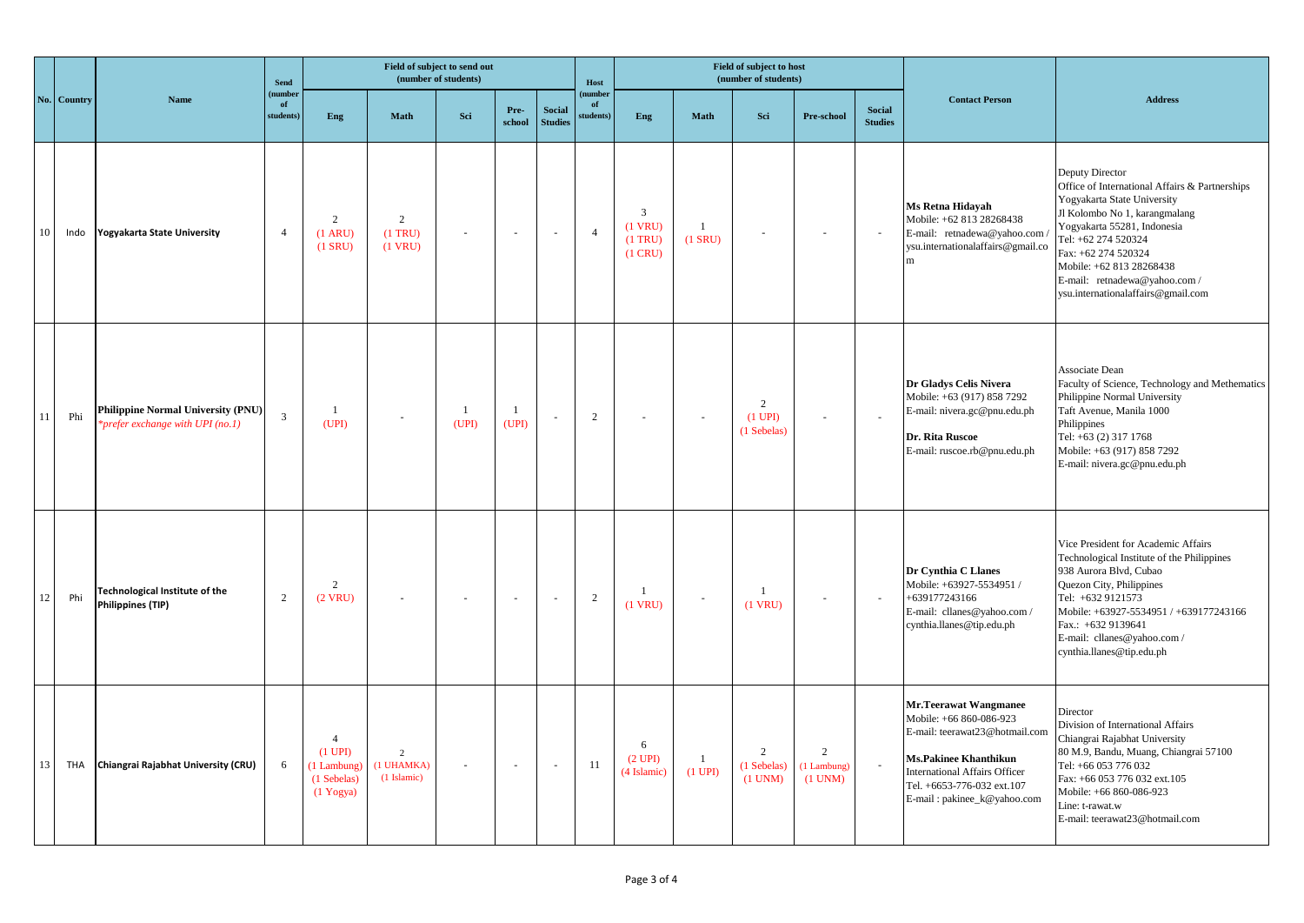|    |             | Name                                                                                 | <b>Send</b><br>(number<br>of<br>students | Field of subject to send out<br>(number of students)                                    |                                             |                         |                |                                 | Host                     |                                                        |                             | Field of subject to host<br>(number of students) |                                               |                                 |                                                                                                                                                                                                                         |                                                                                                                                                                                                                                                                                                                   |
|----|-------------|--------------------------------------------------------------------------------------|------------------------------------------|-----------------------------------------------------------------------------------------|---------------------------------------------|-------------------------|----------------|---------------------------------|--------------------------|--------------------------------------------------------|-----------------------------|--------------------------------------------------|-----------------------------------------------|---------------------------------|-------------------------------------------------------------------------------------------------------------------------------------------------------------------------------------------------------------------------|-------------------------------------------------------------------------------------------------------------------------------------------------------------------------------------------------------------------------------------------------------------------------------------------------------------------|
|    | No. Country |                                                                                      |                                          | <b>Eng</b>                                                                              | <b>Math</b>                                 | Sci                     | Pre-<br>school | <b>Social</b><br><b>Studies</b> | number<br>of<br>tudents) | Eng                                                    | <b>Math</b>                 | Sci                                              | Pre-school                                    | <b>Social</b><br><b>Studies</b> | <b>Contact Person</b>                                                                                                                                                                                                   | <b>Address</b>                                                                                                                                                                                                                                                                                                    |
| 10 | Indo        | <b>Yogyakarta State University</b>                                                   | $\overline{4}$                           | 2<br>$(1$ ARU)<br>$(1$ SRU)                                                             | 2<br>$(1$ TRU)<br>$(1$ VRU)                 | $\sim$                  | $\sim$         | $\sim$                          | $\overline{4}$           | $\mathbf{3}$<br>$(1$ VRU)<br>$(1$ TRU)<br>$(1$ CRU $)$ | $\overline{1}$<br>$(1$ SRU) |                                                  | ×.                                            |                                 | Ms Retna Hidayah<br>Mobile: +62 813 28268438<br>E-mail: retnadewa@yahoo.com /<br>ysu.internationalaffairs@gmail.co<br>m                                                                                                 | Deputy Director<br>Office of International Affairs & Partnerships<br>Yogyakarta State University<br>Jl Kolombo No 1, karangmalang<br>Yogyakarta 55281, Indonesia<br>Tel: +62 274 520324<br>Fax: +62 274 520324<br>Mobile: +62 813 28268438<br>E-mail: retnadewa@yahoo.com /<br>ysu.internationalaffairs@gmail.com |
| 11 | Phi         | <b>Philippine Normal University (PNU)</b><br><i>*prefer exchange with UPI (no.1)</i> | 3                                        | -1<br>(UPI)                                                                             | $\sim$                                      | $\overline{1}$<br>(UPI) | 1<br>(UPI)     | $\sim$                          | 2                        | $\sim$                                                 | $\sim$                      | 2<br>$(1 \text{ UPI})$<br>(1 Sebelas)            | $\sim$                                        | $\sim$                          | Dr Gladys Celis Nivera<br>Mobile: +63 (917) 858 7292<br>E-mail: nivera.gc@pnu.edu.ph<br>Dr. Rita Ruscoe<br>E-mail: ruscoe.rb@pnu.edu.ph                                                                                 | Associate Dean<br>Faculty of Science, Technology and Methematics<br>Philippine Normal University<br>Taft Avenue, Manila 1000<br>Philippines<br>Tel: +63 (2) 317 1768<br>Mobile: +63 (917) 858 7292<br>E-mail: nivera.gc@pnu.edu.ph                                                                                |
| 12 | Phi         | <b>Technological Institute of the</b><br><b>Philippines (TIP)</b>                    | 2                                        | 2<br>$(2$ VRU)                                                                          | $\overline{\phantom{a}}$                    | $\sim$                  | $\sim$         | $\overline{\phantom{a}}$        | 2                        | $\mathbf{1}$<br>$(1$ VRU)                              | $\sim$                      | -1<br>$(1$ VRU)                                  | $\sim$                                        | $\sim$                          | Dr Cynthia C Llanes<br>Mobile: +63927-5534951 /<br>+639177243166<br>E-mail: cllanes@yahoo.com /<br>cynthia.llanes@tip.edu.ph                                                                                            | Vice President for Academic Affairs<br>Technological Institute of the Philippines<br>938 Aurora Blvd, Cubao<br>Quezon City, Philippines<br>Tel: +632 9121573<br>Mobile: +63927-5534951 / +639177243166<br>Fax.: +632 9139641<br>E-mail: cllanes@yahoo.com /<br>cynthia.llanes@tip.edu.ph                          |
| 13 | <b>THA</b>  | Chiangrai Rajabhat University (CRU)                                                  | 6                                        | $\overline{4}$<br>$(1 \text{ UPI})$<br>(1 Lambung)<br>(1 Sebelas)<br>$(1 \text{Yogya})$ | $\overline{2}$<br>(1 UHAMKA)<br>(1 Islamic) | $\sim$                  | $\sim$         | $\sim$                          | 11                       | 6<br>(2 UPI)<br>(4 Islamic)                            | -1<br>$(1$ UPI $)$          | $\overline{2}$<br>(1 Sebelas)<br>(1 UNM)         | $\overline{c}$<br>(1 Lambung)<br>$(1$ UNM $)$ |                                 | <b>Mr.Teerawat Wangmanee</b><br>Mobile: +66 860-086-923<br>E-mail: teerawat23@hotmail.com<br>Ms.Pakinee Khanthikun<br><b>International Affairs Officer</b><br>Tel. +6653-776-032 ext.107<br>E-mail: pakinee_k@yahoo.com | Director<br>Division of International Affairs<br>Chiangrai Rajabhat University<br>80 M.9, Bandu, Muang, Chiangrai 57100<br>Tel: +66 053 776 032<br>Fax: +66 053 776 032 ext.105<br>Mobile: +66 860-086-923<br>Line: t-rawat.w<br>E-mail: teerawat23@hotmail.com                                                   |